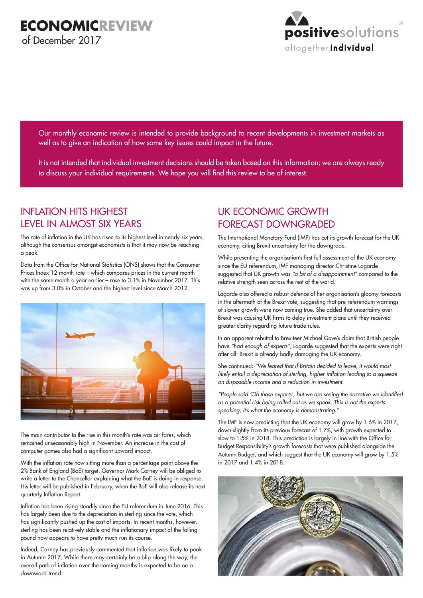

Our monthly economic review is intended to provide background to recent developments in investment markets as well as to give an indication of how some key issues could impact in the future.

It is not intended that individual investment decisions should be taken based on this information; we are always ready to discuss your individual requirements. We hope you will find this review to be of interest.

### INFLATION HITS HIGHEST LEVEL IN ALMOST SIX YEARS

The rate of inflation in the UK has risen to its highest level in nearly six years, although the consensus amongst economists is that it may now be reaching a peak.

Data from the Office for National Statistics (ONS) shows that the Consumer Prices Index 12-month rate – which compares prices in the current month with the same month a year earlier – rose to 3.1% in November 2017. This was up from 3.0% in October and the highest level since March 2012.



The main contributor to the rise in this month's rate was air fares, which remained unseasonably high in November. An increase in the cost of computer games also had a significant upward impact.

With the inflation rate now sitting more than a percentage point above the 2% Bank of England (BoE) target, Governor Mark Carney will be obliged to write a letter to the Chancellor explaining what the BoE is doing in response. His letter will be published in February, when the BoE will also release its next quarterly Inflation Report.

Inflation has been rising steadily since the EU referendum in June 2016. This has largely been due to the depreciation in sterling since the vote, which has significantly pushed up the cost of imports. In recent months, however, sterling has been relatively stable and the inflationary impact of the falling pound now appears to have pretty much run its course.

Indeed, Carney has previously commented that inflation was likely to peak in Autumn 2017. While there may certainly be a blip along the way, the overall path of inflation over the coming months is expected to be on a downward trend.

# UK ECONOMIC GROWTH FORECAST DOWNGRADED

The International Monetary Fund (IMF) has cut its growth forecast for the UK economy, citing Brexit uncertainty for the downgrade.

While presenting the organisation's first full assessment of the UK economy since the EU referendum, IMF managing director Christine Lagarde suggested that UK growth was *"a bit of a disappointment"* compared to the relative strength seen across the rest of the world.

Lagarde also offered a robust defence of her organisation's gloomy forecasts in the aftermath of the Brexit vote, suggesting that pre-referendum warnings of slower growth were now coming true. She added that uncertainty over Brexit was causing UK firms to delay investment plans until they received greater clarity regarding future trade rules.

In an apparent rebuttal to Brexiteer Michael Gove's claim that British people have *"had enough of experts"*, Lagarde suggested that the experts were right after all: Brexit is already badly damaging the UK economy.

She continued: *"We feared that if Britain decided to leave, it would most*  likely entail a depreciation of sterling, higher inflation leading to a squeeze *on disposable income and a reduction in investment.*

"People said 'Oh those experts', but we are seeing the narrative we identified *as a potential risk being rolled out as we speak. This is not the experts speaking; it's what the economy is demonstrating."*

The IMF is now predicting that the UK economy will grow by 1.6% in 2017, down slightly from its previous forecast of 1.7%, with growth expected to slow to 1.5% in 2018. This prediction is largely in line with the Office for Budget Responsibility's growth forecasts that were published alongside the Autumn Budget, and which suggest that the UK economy will grow by 1.5% in 2017 and 1.4% in 2018.